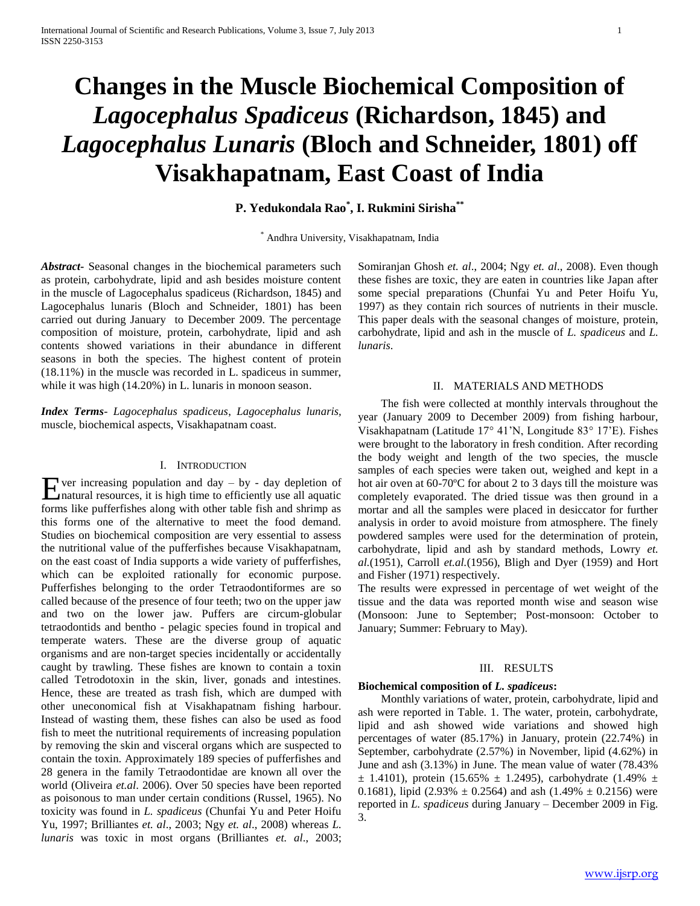# **Changes in the Muscle Biochemical Composition of**  *Lagocephalus Spadiceus* **(Richardson, 1845) and**  *Lagocephalus Lunaris* **(Bloch and Schneider, 1801) off Visakhapatnam, East Coast of India**

## **P. Yedukondala Rao\* , I. Rukmini Sirisha\*\***

\* Andhra University, Visakhapatnam, India

*Abstract***-** Seasonal changes in the biochemical parameters such as protein, carbohydrate, lipid and ash besides moisture content in the muscle of Lagocephalus spadiceus (Richardson, 1845) and Lagocephalus lunaris (Bloch and Schneider, 1801) has been carried out during January to December 2009. The percentage composition of moisture, protein, carbohydrate, lipid and ash contents showed variations in their abundance in different seasons in both the species. The highest content of protein (18.11%) in the muscle was recorded in L. spadiceus in summer, while it was high (14.20%) in L. lunaris in monoon season.

*Index Terms*- *Lagocephalus spadiceus*, *Lagocephalus lunaris,*  muscle, biochemical aspects, Visakhapatnam coast.

#### I. INTRODUCTION

Ever increasing population and day  $-$  by  $-$  day depletion of  $\Gamma$  natural resources, it is high time to efficiently use all aquatic natural resources, it is high time to efficiently use all aquatic forms like pufferfishes along with other table fish and shrimp as this forms one of the alternative to meet the food demand. Studies on biochemical composition are very essential to assess the nutritional value of the pufferfishes because Visakhapatnam, on the east coast of India supports a wide variety of pufferfishes, which can be exploited rationally for economic purpose. Pufferfishes belonging to the order Tetraodontiformes are so called because of the presence of four teeth; two on the upper jaw and two on the lower jaw. Puffers are circum-globular tetraodontids and bentho - pelagic species found in tropical and temperate waters. These are the diverse group of aquatic organisms and are non-target species incidentally or accidentally caught by trawling. These fishes are known to contain a toxin called Tetrodotoxin in the skin, liver, gonads and intestines. Hence, these are treated as trash fish, which are dumped with other uneconomical fish at Visakhapatnam fishing harbour. Instead of wasting them, these fishes can also be used as food fish to meet the nutritional requirements of increasing population by removing the skin and visceral organs which are suspected to contain the toxin. Approximately 189 species of pufferfishes and 28 genera in the family Tetraodontidae are known all over the world (Oliveira *et.al*. 2006). Over 50 species have been reported as poisonous to man under certain conditions (Russel, 1965). No toxicity was found in *L. spadiceus* (Chunfai Yu and Peter Hoifu Yu, 1997; Brilliantes *et. al*., 2003; Ngy *et. al*., 2008) whereas *L. lunaris* was toxic in most organs (Brilliantes *et. al*., 2003;

Somiranjan Ghosh *et. al*., 2004; Ngy *et. al*., 2008). Even though these fishes are toxic, they are eaten in countries like Japan after some special preparations (Chunfai Yu and Peter Hoifu Yu, 1997) as they contain rich sources of nutrients in their muscle. This paper deals with the seasonal changes of moisture, protein, carbohydrate, lipid and ash in the muscle of *L. spadiceus* and *L. lunaris*.

#### II. MATERIALS AND METHODS

 The fish were collected at monthly intervals throughout the year (January 2009 to December 2009) from fishing harbour, Visakhapatnam (Latitude  $17^{\circ}$  41'N, Longitude  $83^{\circ}$  17'E). Fishes were brought to the laboratory in fresh condition. After recording the body weight and length of the two species, the muscle samples of each species were taken out, weighed and kept in a hot air oven at 60-70ºC for about 2 to 3 days till the moisture was completely evaporated. The dried tissue was then ground in a mortar and all the samples were placed in desiccator for further analysis in order to avoid moisture from atmosphere. The finely powdered samples were used for the determination of protein, carbohydrate, lipid and ash by standard methods, Lowry *et. al.*(1951), Carroll *et.al.*(1956), Bligh and Dyer (1959) and Hort and Fisher (1971) respectively.

The results were expressed in percentage of wet weight of the tissue and the data was reported month wise and season wise (Monsoon: June to September; Post-monsoon: October to January; Summer: February to May).

### III. RESULTS

#### **Biochemical composition of** *L. spadiceus***:**

 Monthly variations of water, protein, carbohydrate, lipid and ash were reported in Table. 1. The water, protein, carbohydrate, lipid and ash showed wide variations and showed high percentages of water (85.17%) in January, protein (22.74%) in September, carbohydrate (2.57%) in November, lipid (4.62%) in June and ash (3.13%) in June. The mean value of water (78.43%  $\pm$  1.4101), protein (15.65%  $\pm$  1.2495), carbohydrate (1.49%  $\pm$ 0.1681), lipid (2.93%  $\pm$  0.2564) and ash (1.49%  $\pm$  0.2156) were reported in *L. spadiceus* during January – December 2009 in Fig. 3.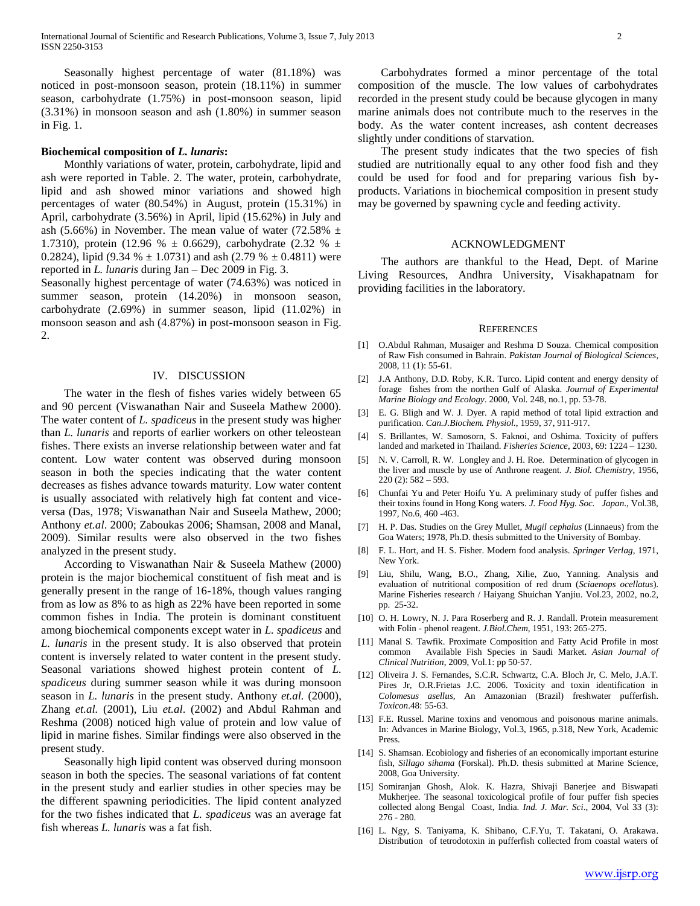Seasonally highest percentage of water (81.18%) was noticed in post-monsoon season, protein (18.11%) in summer season, carbohydrate (1.75%) in post-monsoon season, lipid (3.31%) in monsoon season and ash (1.80%) in summer season in Fig. 1.

#### **Biochemical composition of** *L. lunaris***:**

 Monthly variations of water, protein, carbohydrate, lipid and ash were reported in Table. 2. The water, protein, carbohydrate, lipid and ash showed minor variations and showed high percentages of water (80.54%) in August, protein (15.31%) in April, carbohydrate (3.56%) in April, lipid (15.62%) in July and ash (5.66%) in November. The mean value of water (72.58%  $\pm$ 1.7310), protein (12.96 %  $\pm$  0.6629), carbohydrate (2.32 %  $\pm$ 0.2824), lipid (9.34 %  $\pm$  1.0731) and ash (2.79 %  $\pm$  0.4811) were reported in *L. lunaris* during Jan – Dec 2009 in Fig. 3.

Seasonally highest percentage of water (74.63%) was noticed in summer season, protein (14.20%) in monsoon season, carbohydrate (2.69%) in summer season, lipid (11.02%) in monsoon season and ash (4.87%) in post-monsoon season in Fig. 2.

#### IV. DISCUSSION

 The water in the flesh of fishes varies widely between 65 and 90 percent (Viswanathan Nair and Suseela Mathew 2000). The water content of *L. spadiceus* in the present study was higher than *L. lunaris* and reports of earlier workers on other teleostean fishes. There exists an inverse relationship between water and fat content. Low water content was observed during monsoon season in both the species indicating that the water content decreases as fishes advance towards maturity. Low water content is usually associated with relatively high fat content and viceversa (Das, 1978; Viswanathan Nair and Suseela Mathew, 2000; Anthony *et.al*. 2000; Zaboukas 2006; Shamsan, 2008 and Manal, 2009). Similar results were also observed in the two fishes analyzed in the present study.

 According to Viswanathan Nair & Suseela Mathew (2000) protein is the major biochemical constituent of fish meat and is generally present in the range of 16-18%, though values ranging from as low as 8% to as high as 22% have been reported in some common fishes in India. The protein is dominant constituent among biochemical components except water in *L. spadiceus* and *L. lunaris* in the present study. It is also observed that protein content is inversely related to water content in the present study. Seasonal variations showed highest protein content of *L. spadiceus* during summer season while it was during monsoon season in *L. lunaris* in the present study. Anthony *et.al.* (2000), Zhang *et.al.* (2001), Liu *et.al*. (2002) and Abdul Rahman and Reshma (2008) noticed high value of protein and low value of lipid in marine fishes. Similar findings were also observed in the present study.

 Seasonally high lipid content was observed during monsoon season in both the species. The seasonal variations of fat content in the present study and earlier studies in other species may be the different spawning periodicities. The lipid content analyzed for the two fishes indicated that *L. spadiceus* was an average fat fish whereas *L. lunaris* was a fat fish.

 Carbohydrates formed a minor percentage of the total composition of the muscle. The low values of carbohydrates recorded in the present study could be because glycogen in many marine animals does not contribute much to the reserves in the body. As the water content increases, ash content decreases slightly under conditions of starvation.

 The present study indicates that the two species of fish studied are nutritionally equal to any other food fish and they could be used for food and for preparing various fish byproducts. Variations in biochemical composition in present study may be governed by spawning cycle and feeding activity.

#### ACKNOWLEDGMENT

 The authors are thankful to the Head, Dept. of Marine Living Resources, Andhra University, Visakhapatnam for providing facilities in the laboratory.

#### **REFERENCES**

- [1] O.Abdul Rahman, Musaiger and Reshma D Souza. Chemical composition of Raw Fish consumed in Bahrain. *Pakistan Journal of Biological Sciences*, 2008, 11 (1): 55-61.
- [2] J.A Anthony, D.D. Roby, K.R. Turco. Lipid content and energy density of forage fishes from the northen Gulf of Alaska. *Journal of Experimental Marine Biology and Ecology*. 2000, Vol. 248, no.1, pp. 53-78.
- [3] E. G. Bligh and W. J. Dyer. A rapid method of total lipid extraction and purification. *Can.J.Biochem. Physiol.,* 1959, 37, 911-917.
- [4] S. Brillantes, W. Samosorn, S. Faknoi, and Oshima. Toxicity of puffers landed and marketed in Thailand. *Fisheries Science*, 2003, 69: 1224 – 1230.
- [5] N. V. Carroll, R. W. Longley and J. H. Roe. Determination of glycogen in the liver and muscle by use of Anthrone reagent. *J. Biol. Chemistry*, 1956,  $220 (2): 582 - 593.$
- [6] Chunfai Yu and Peter Hoifu Yu. A preliminary study of puffer fishes and their toxins found in Hong Kong waters. *J. Food Hyg. Soc. Japan*., Vol.38, 1997, No.6, 460 -463.
- [7] H. P. Das. Studies on the Grey Mullet, *Mugil cephalus* (Linnaeus) from the Goa Waters; 1978, Ph.D. thesis submitted to the University of Bombay.
- [8] F. L. Hort, and H. S. Fisher. Modern food analysis. *Springer Verlag*, 1971, New York.
- [9] Liu, Shilu, Wang, B.O., Zhang, Xilie, Zuo, Yanning. Analysis and evaluation of nutritional composition of red drum (*Sciaenops ocellatus*). Marine Fisheries research / Haiyang Shuichan Yanjiu. Vol.23, 2002, no.2, pp. 25-32.
- [10] O. H. Lowry, N. J. Para Roserberg and R. J. Randall. Protein measurement with Folin - phenol reagent. *J.Biol.Chem*, 1951, 193: 265-275.
- [11] Manal S. Tawfik. Proximate Composition and Fatty Acid Profile in most common Available Fish Species in Saudi Market. *Asian Journal of Clinical Nutrition*, 2009, Vol.1: pp 50-57.
- [12] Oliveira J. S. Fernandes, S.C.R. Schwartz, C.A. Bloch Jr, C. Melo, J.A.T. Pires Jr, O.R.Frietas J.C. 2006. Toxicity and toxin identification in *Colomesus asellus,* An Amazonian (Brazil) freshwater pufferfish. *Toxicon*.48: 55-63.
- [13] F.E. Russel. Marine toxins and venomous and poisonous marine animals. In: Advances in Marine Biology, Vol.3, 1965, p.318, New York, Academic Press.
- [14] S. Shamsan. Ecobiology and fisheries of an economically important esturine fish, *Sillago sihama* (Forskal). Ph.D. thesis submitted at Marine Science, 2008, Goa University.
- [15] Somiranjan Ghosh, Alok. K. Hazra, Shivaji Banerjee and Biswapati Mukherjee. The seasonal toxicological profile of four puffer fish species collected along Bengal Coast, India. *Ind. J. Mar. Sci*., 2004, Vol 33 (3): 276 - 280.
- [16] L. Ngy, S. Taniyama, K. Shibano, C.F.Yu, T. Takatani, O. Arakawa. Distribution of tetrodotoxin in pufferfish collected from coastal waters of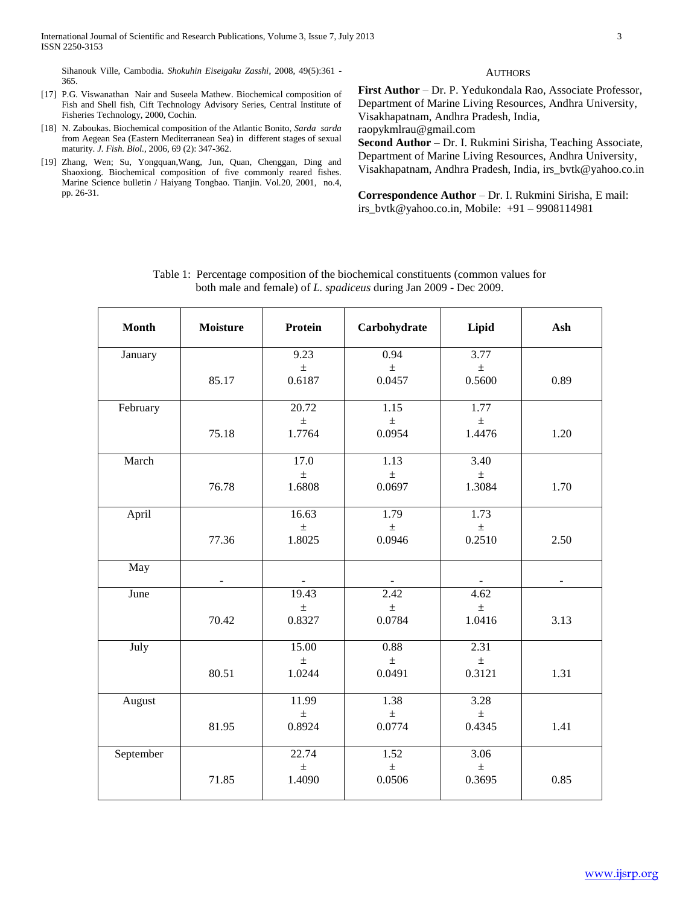Sihanouk Ville, Cambodia. *Shokuhin Eiseigaku Zasshi*, 2008, 49(5):361 - 365.

- [17] P.G. Viswanathan Nair and Suseela Mathew. Biochemical composition of Fish and Shell fish, Cift Technology Advisory Series, Central Institute of Fisheries Technology, 2000, Cochin.
- [18] N. Zaboukas. Biochemical composition of the Atlantic Bonito, *Sarda sarda* from Aegean Sea (Eastern Mediterranean Sea) in different stages of sexual maturity. *J. Fish. Biol.*, 2006, 69 (2): 347-362.
- [19] Zhang, Wen; Su, Yongquan,Wang, Jun, Quan, Chenggan, Ding and Shaoxiong. Biochemical composition of five commonly reared fishes. Marine Science bulletin / Haiyang Tongbao. Tianjin. Vol.20, 2001, no.4, pp. 26-31.

#### **AUTHORS**

**First Author** – Dr. P. Yedukondala Rao, Associate Professor, Department of Marine Living Resources, Andhra University, Visakhapatnam, Andhra Pradesh, India,

raopykmlrau@gmail.com

**Second Author** – Dr. I. Rukmini Sirisha, Teaching Associate, Department of Marine Living Resources, Andhra University, Visakhapatnam, Andhra Pradesh, India, irs\_bvtk@yahoo.co.in

**Correspondence Author** – Dr. I. Rukmini Sirisha, E mail: irs\_bvtk@yahoo.co.in, Mobile: +91 – 9908114981

| <b>Month</b> | <b>Moisture</b>              | <b>Protein</b>  | Carbohydrate    | Lipid           | Ash            |
|--------------|------------------------------|-----------------|-----------------|-----------------|----------------|
| January      |                              | 9.23            | 0.94            | 3.77            |                |
|              | 85.17                        | $\pm$<br>0.6187 | $\pm$<br>0.0457 | $\pm$<br>0.5600 | 0.89           |
| February     |                              | 20.72           | 1.15            | 1.77            |                |
|              | 75.18                        | $\pm$<br>1.7764 | $\pm$<br>0.0954 | $\pm$<br>1.4476 | 1.20           |
| March        |                              | 17.0            | 1.13            | 3.40            |                |
|              | 76.78                        | $\pm$<br>1.6808 | $\pm$<br>0.0697 | $\pm$<br>1.3084 | 1.70           |
| April        |                              | 16.63           | 1.79            | 1.73            |                |
|              | 77.36                        | $\pm$<br>1.8025 | $\pm$<br>0.0946 | $\pm$<br>0.2510 | 2.50           |
| May          | $\qquad \qquad \blacksquare$ |                 |                 |                 | $\blacksquare$ |
| June         |                              | 19.43           | 2.42            | 4.62            |                |
|              | 70.42                        | $\pm$<br>0.8327 | $\pm$<br>0.0784 | $\pm$<br>1.0416 | 3.13           |
| July         |                              | 15.00           | 0.88            | 2.31            |                |
|              | 80.51                        | $\pm$<br>1.0244 | $\pm$<br>0.0491 | $\pm$<br>0.3121 | 1.31           |
| August       |                              | 11.99           | 1.38            | 3.28            |                |
|              | 81.95                        | $\pm$<br>0.8924 | $\pm$<br>0.0774 | $\pm$<br>0.4345 | 1.41           |
| September    |                              | 22.74           | 1.52            | 3.06            |                |
|              | 71.85                        | $\pm$<br>1.4090 | $\pm$<br>0.0506 | $\pm$<br>0.3695 | 0.85           |

| Table 1: Percentage composition of the biochemical constituents (common values for |  |
|------------------------------------------------------------------------------------|--|
| both male and female) of <i>L. spadiceus</i> during Jan 2009 - Dec 2009.           |  |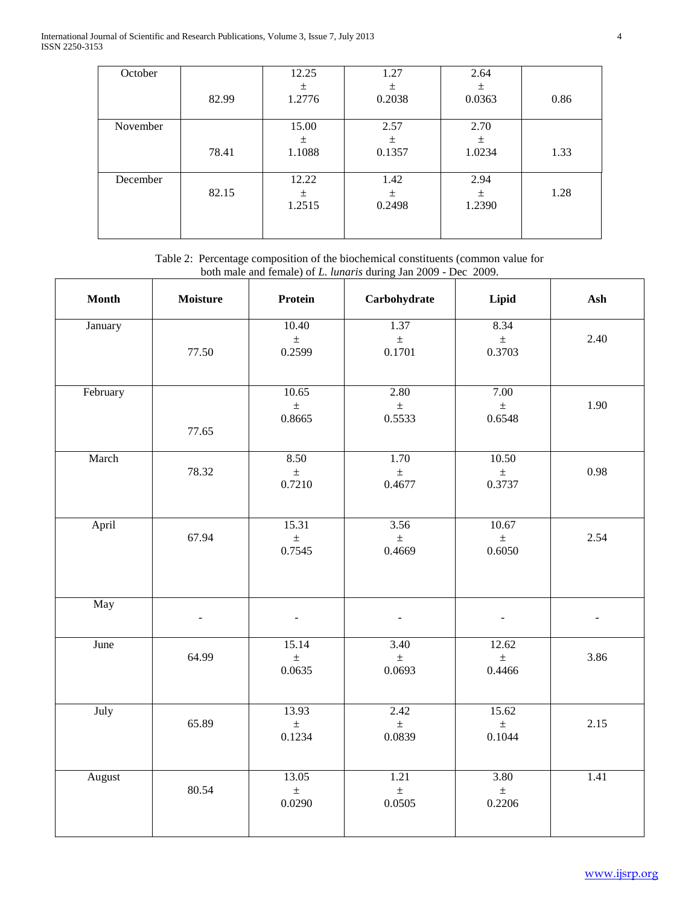International Journal of Scientific and Research Publications, Volume 3, Issue 7, July 2013 4 ISSN 2250-3153

| October  |       | 12.25  | 1.27   | 2.64   |      |
|----------|-------|--------|--------|--------|------|
|          |       | $\pm$  | $\pm$  | $\pm$  |      |
|          | 82.99 | 1.2776 | 0.2038 | 0.0363 | 0.86 |
|          |       |        |        |        |      |
| November |       | 15.00  | 2.57   | 2.70   |      |
|          |       | 士      | 土      | 土      |      |
|          | 78.41 | 1.1088 | 0.1357 | 1.0234 | 1.33 |
|          |       |        |        |        |      |
| December |       | 12.22  | 1.42   | 2.94   |      |
|          | 82.15 | 土      | 土      | 土      | 1.28 |
|          |       | 1.2515 | 0.2498 | 1.2390 |      |
|          |       |        |        |        |      |
|          |       |        |        |        |      |

Table 2: Percentage composition of the biochemical constituents (common value for both male and female) of *L. lunaris* during Jan 2009 - Dec 2009.

| Month    | <b>Moisture</b>              | Protein                  | Carbohydrate             | Lipid                    | Ash  |
|----------|------------------------------|--------------------------|--------------------------|--------------------------|------|
| January  | 77.50                        | 10.40<br>$\pm$<br>0.2599 | 1.37<br>$\pm$<br>0.1701  | 8.34<br>$\pm$<br>0.3703  | 2.40 |
| February | 77.65                        | 10.65<br>$\pm$<br>0.8665 | 2.80<br>$\pm$<br>0.5533  | 7.00<br>$\pm$<br>0.6548  | 1.90 |
| March    | 78.32                        | 8.50<br>$\pm$<br>0.7210  | 1.70<br>$\pm$<br>0.4677  | 10.50<br>$\pm$<br>0.3737 | 0.98 |
| April    | 67.94                        | 15.31<br>$\pm$<br>0.7545 | 3.56<br>$\pm$<br>0.4669  | 10.67<br>$\pm$<br>0.6050 | 2.54 |
| May      | $\qquad \qquad \blacksquare$ | $\overline{\phantom{a}}$ | $\overline{\phantom{a}}$ | $\overline{\phantom{a}}$ |      |
| June     | 64.99                        | 15.14<br>$\pm$<br>0.0635 | 3.40<br>$\pm$<br>0.0693  | 12.62<br>$\pm$<br>0.4466 | 3.86 |
| July     | 65.89                        | 13.93<br>$\pm$<br>0.1234 | 2.42<br>$\pm$<br>0.0839  | 15.62<br>$\pm$<br>0.1044 | 2.15 |
| August   | 80.54                        | 13.05<br>$\pm$<br>0.0290 | 1.21<br>$\pm$<br>0.0505  | 3.80<br>$\pm$<br>0.2206  | 1.41 |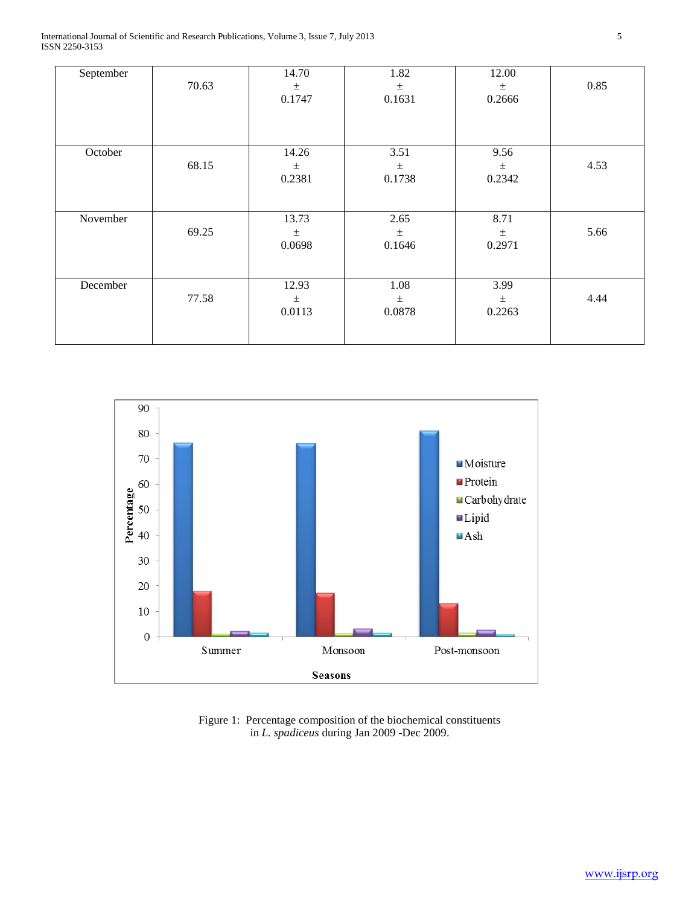International Journal of Scientific and Research Publications, Volume 3, Issue 7, July 2013 5 ISSN 2250-3153

| September | 70.63 | 14.70<br>$\pm$<br>0.1747 | 1.82<br>$\pm$<br>0.1631 | 12.00<br>$\pm$<br>0.2666 | 0.85 |
|-----------|-------|--------------------------|-------------------------|--------------------------|------|
| October   | 68.15 | 14.26<br>$\pm$<br>0.2381 | 3.51<br>$\pm$<br>0.1738 | 9.56<br>$\pm$<br>0.2342  | 4.53 |
| November  | 69.25 | 13.73<br>$\pm$<br>0.0698 | 2.65<br>$\pm$<br>0.1646 | 8.71<br>$\pm$<br>0.2971  | 5.66 |
| December  | 77.58 | 12.93<br>$\pm$<br>0.0113 | 1.08<br>$\pm$<br>0.0878 | 3.99<br>$\pm$<br>0.2263  | 4.44 |



Figure 1: Percentage composition of the biochemical constituents in *L. spadiceus* during Jan 2009 -Dec 2009.